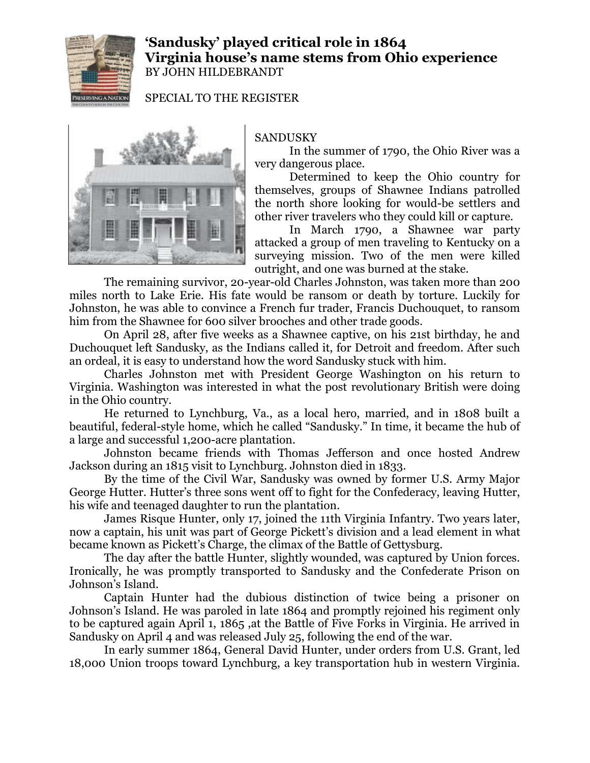

## **'Sandusky' played critical role in 1864 Virginia house's name stems from Ohio experience** BY JOHN HILDEBRANDT

SPECIAL TO THE REGISTER



## SANDUSKY

In the summer of 1790, the Ohio River was a very dangerous place.

Determined to keep the Ohio country for themselves, groups of Shawnee Indians patrolled the north shore looking for would-be settlers and other river travelers who they could kill or capture.

In March 1790, a Shawnee war party attacked a group of men traveling to Kentucky on a surveying mission. Two of the men were killed outright, and one was burned at the stake.

The remaining survivor, 20-year-old Charles Johnston, was taken more than 200 miles north to Lake Erie. His fate would be ransom or death by torture. Luckily for Johnston, he was able to convince a French fur trader, Francis Duchouquet, to ransom him from the Shawnee for 600 silver brooches and other trade goods.

On April 28, after five weeks as a Shawnee captive, on his 21st birthday, he and Duchouquet left Sandusky, as the Indians called it, for Detroit and freedom. After such an ordeal, it is easy to understand how the word Sandusky stuck with him.

Charles Johnston met with President George Washington on his return to Virginia. Washington was interested in what the post revolutionary British were doing in the Ohio country.

He returned to Lynchburg, Va., as a local hero, married, and in 1808 built a beautiful, federal-style home, which he called "Sandusky." In time, it became the hub of a large and successful 1,200-acre plantation.

Johnston became friends with Thomas Jefferson and once hosted Andrew Jackson during an 1815 visit to Lynchburg. Johnston died in 1833.

By the time of the Civil War, Sandusky was owned by former U.S. Army Major George Hutter. Hutter's three sons went off to fight for the Confederacy, leaving Hutter, his wife and teenaged daughter to run the plantation.

James Risque Hunter, only 17, joined the 11th Virginia Infantry. Two years later, now a captain, his unit was part of George Pickett's division and a lead element in what became known as Pickett's Charge, the climax of the Battle of Gettysburg.

The day after the battle Hunter, slightly wounded, was captured by Union forces. Ironically, he was promptly transported to Sandusky and the Confederate Prison on Johnson's Island.

Captain Hunter had the dubious distinction of twice being a prisoner on Johnson's Island. He was paroled in late 1864 and promptly rejoined his regiment only to be captured again April 1, 1865 ,at the Battle of Five Forks in Virginia. He arrived in Sandusky on April 4 and was released July 25, following the end of the war.

In early summer 1864, General David Hunter, under orders from U.S. Grant, led 18,000 Union troops toward Lynchburg, a key transportation hub in western Virginia.